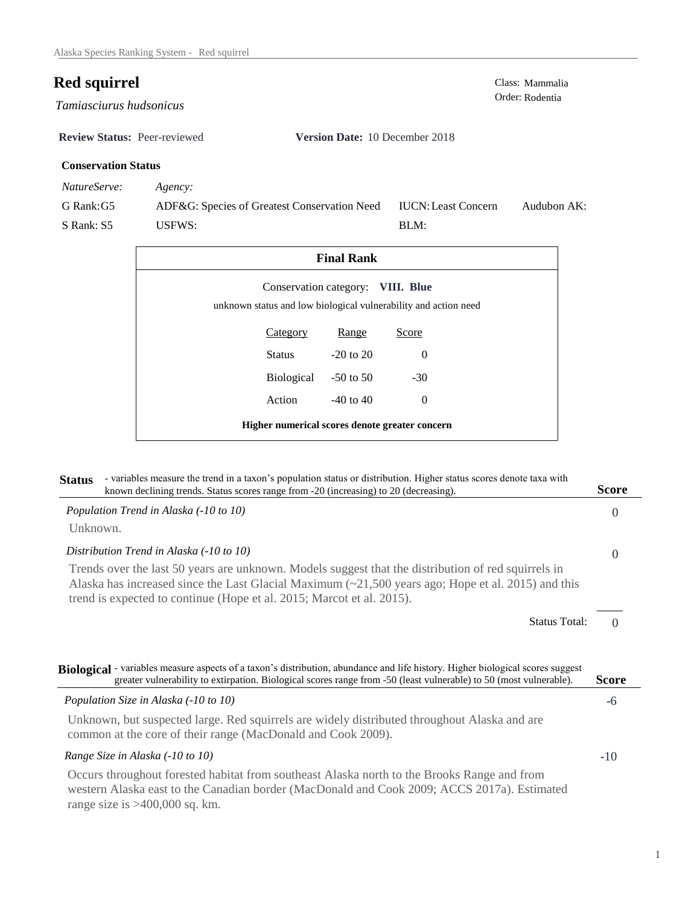## **Red squirrel** Class: Mammalia Class: Mammalia Order: Rodentia

Order: Rodentia *Tamiasciurus hudsonicus* 

**Review Status:** Peer-reviewed **Version Date:** 10 December 2018

## **Conservation Status**

*NatureServe: Agency:*

G Rank:G5 S Rank: S5 ADF&G: Species of Greatest Conservation Need USFWS: Audubon AK: BLM: IUCN:Least Concern

| <b>Final Rank</b>                                                                                    |                 |               |          |  |
|------------------------------------------------------------------------------------------------------|-----------------|---------------|----------|--|
| Conservation category: VIII. Blue<br>unknown status and low biological vulnerability and action need |                 |               |          |  |
|                                                                                                      | <b>Category</b> | Range         | Score    |  |
|                                                                                                      | Status          | $-20$ to $20$ | $\Omega$ |  |
|                                                                                                      | Biological      | $-50$ to 50   | $-30$    |  |
|                                                                                                      | Action          | $-40$ to $40$ | $\Omega$ |  |
| Higher numerical scores denote greater concern                                                       |                 |               |          |  |

| - variables measure the trend in a taxon's population status or distribution. Higher status scores denote taxa with<br><b>Status</b><br>known declining trends. Status scores range from -20 (increasing) to 20 (decreasing).                                                            | <b>Score</b> |
|------------------------------------------------------------------------------------------------------------------------------------------------------------------------------------------------------------------------------------------------------------------------------------------|--------------|
| Population Trend in Alaska (-10 to 10)                                                                                                                                                                                                                                                   | 0            |
| Unknown.                                                                                                                                                                                                                                                                                 |              |
| Distribution Trend in Alaska (-10 to 10)                                                                                                                                                                                                                                                 | $\Omega$     |
| Trends over the last 50 years are unknown. Models suggest that the distribution of red squirrels in<br>Alaska has increased since the Last Glacial Maximum $(\sim 21,500$ years ago; Hope et al. 2015) and this<br>trend is expected to continue (Hope et al. 2015; Marcot et al. 2015). |              |
| <b>Status Total:</b>                                                                                                                                                                                                                                                                     | $\Omega$     |
| Biological - variables measure aspects of a taxon's distribution, abundance and life history. Higher biological scores suggest<br>greater vulnerability to extirpation. Biological scores range from -50 (least vulnerable) to 50 (most vulnerable).                                     | <b>Score</b> |
| Population Size in Alaska (-10 to 10)                                                                                                                                                                                                                                                    | -6           |
| Unknown, but suspected large. Red squirrels are widely distributed throughout Alaska and are<br>common at the core of their range (MacDonald and Cook 2009).                                                                                                                             |              |
| Range Size in Alaska (-10 to 10)                                                                                                                                                                                                                                                         | $-10$        |
| Occurs throughout forested habitat from southeast Alaska north to the Brooks Range and from<br>western Alaska east to the Canadian border (MacDonald and Cook 2009; ACCS 2017a). Estimated                                                                                               |              |

range size is >400,000 sq. km.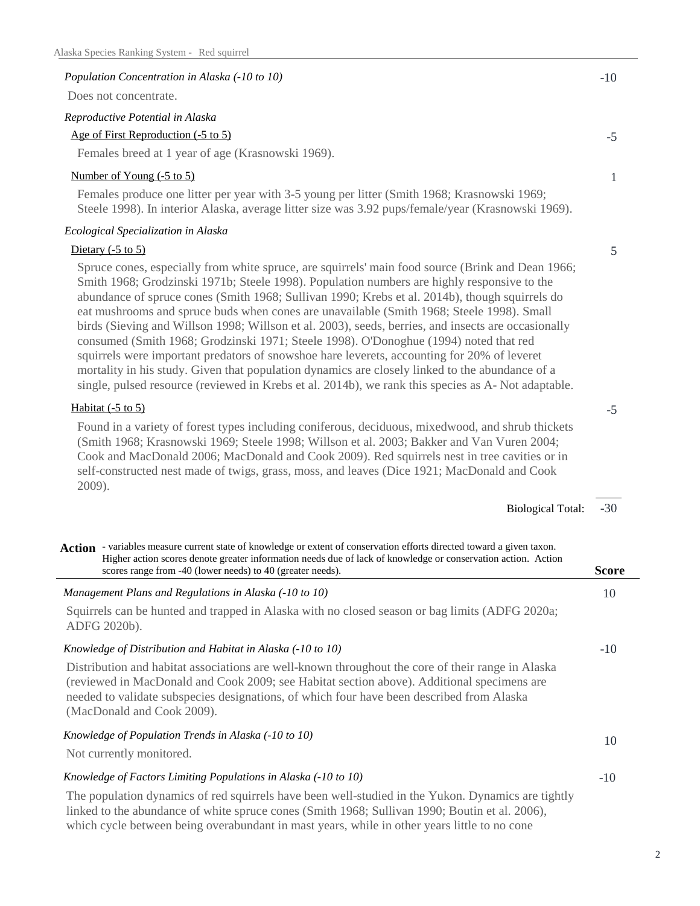| Population Concentration in Alaska (-10 to 10)                                                                                                                                                                                                                                                                                                                                                                                                                                                                                                                                                                                                                                                                                                                                                                                                                                                          | $-10$ |
|---------------------------------------------------------------------------------------------------------------------------------------------------------------------------------------------------------------------------------------------------------------------------------------------------------------------------------------------------------------------------------------------------------------------------------------------------------------------------------------------------------------------------------------------------------------------------------------------------------------------------------------------------------------------------------------------------------------------------------------------------------------------------------------------------------------------------------------------------------------------------------------------------------|-------|
| Does not concentrate.                                                                                                                                                                                                                                                                                                                                                                                                                                                                                                                                                                                                                                                                                                                                                                                                                                                                                   |       |
| Reproductive Potential in Alaska                                                                                                                                                                                                                                                                                                                                                                                                                                                                                                                                                                                                                                                                                                                                                                                                                                                                        |       |
| Age of First Reproduction (-5 to 5)                                                                                                                                                                                                                                                                                                                                                                                                                                                                                                                                                                                                                                                                                                                                                                                                                                                                     | $-5$  |
| Females breed at 1 year of age (Krasnowski 1969).                                                                                                                                                                                                                                                                                                                                                                                                                                                                                                                                                                                                                                                                                                                                                                                                                                                       |       |
| Number of Young (-5 to 5)                                                                                                                                                                                                                                                                                                                                                                                                                                                                                                                                                                                                                                                                                                                                                                                                                                                                               | 1     |
| Females produce one litter per year with 3-5 young per litter (Smith 1968; Krasnowski 1969;<br>Steele 1998). In interior Alaska, average litter size was 3.92 pups/female/year (Krasnowski 1969).                                                                                                                                                                                                                                                                                                                                                                                                                                                                                                                                                                                                                                                                                                       |       |
| Ecological Specialization in Alaska                                                                                                                                                                                                                                                                                                                                                                                                                                                                                                                                                                                                                                                                                                                                                                                                                                                                     |       |
| Dietary $(-5 \text{ to } 5)$                                                                                                                                                                                                                                                                                                                                                                                                                                                                                                                                                                                                                                                                                                                                                                                                                                                                            | 5     |
| Spruce cones, especially from white spruce, are squirrels' main food source (Brink and Dean 1966;<br>Smith 1968; Grodzinski 1971b; Steele 1998). Population numbers are highly responsive to the<br>abundance of spruce cones (Smith 1968; Sullivan 1990; Krebs et al. 2014b), though squirrels do<br>eat mushrooms and spruce buds when cones are unavailable (Smith 1968; Steele 1998). Small<br>birds (Sieving and Willson 1998; Willson et al. 2003), seeds, berries, and insects are occasionally<br>consumed (Smith 1968; Grodzinski 1971; Steele 1998). O'Donoghue (1994) noted that red<br>squirrels were important predators of snowshoe hare leverets, accounting for 20% of leveret<br>mortality in his study. Given that population dynamics are closely linked to the abundance of a<br>single, pulsed resource (reviewed in Krebs et al. 2014b), we rank this species as A-Not adaptable. |       |

## Habitat  $(-5 \text{ to } 5)$

Found in a variety of forest types including coniferous, deciduous, mixedwood, and shrub thickets (Smith 1968; Krasnowski 1969; Steele 1998; Willson et al. 2003; Bakker and Van Vuren 2004; Cook and MacDonald 2006; MacDonald and Cook 2009). Red squirrels nest in tree cavities or in self-constructed nest made of twigs, grass, moss, and leaves (Dice 1921; MacDonald and Cook 2009).

| <b>Biological Total:</b> | -30 |
|--------------------------|-----|
|--------------------------|-----|

-5

| Action - variables measure current state of knowledge or extent of conservation efforts directed toward a given taxon.<br>Higher action scores denote greater information needs due of lack of knowledge or conservation action. Action                                                                                    |              |
|----------------------------------------------------------------------------------------------------------------------------------------------------------------------------------------------------------------------------------------------------------------------------------------------------------------------------|--------------|
| scores range from -40 (lower needs) to 40 (greater needs).                                                                                                                                                                                                                                                                 | <b>Score</b> |
| Management Plans and Regulations in Alaska (-10 to 10)                                                                                                                                                                                                                                                                     | 10           |
| Squirrels can be hunted and trapped in Alaska with no closed season or bag limits (ADFG 2020a;<br>ADFG 2020b).                                                                                                                                                                                                             |              |
| Knowledge of Distribution and Habitat in Alaska (-10 to 10)                                                                                                                                                                                                                                                                | $-10$        |
| Distribution and habitat associations are well-known throughout the core of their range in Alaska<br>(reviewed in MacDonald and Cook 2009; see Habitat section above). Additional specimens are<br>needed to validate subspecies designations, of which four have been described from Alaska<br>(MacDonald and Cook 2009). |              |
| Knowledge of Population Trends in Alaska (-10 to 10)<br>Not currently monitored.                                                                                                                                                                                                                                           | 10           |
| Knowledge of Factors Limiting Populations in Alaska (-10 to 10)                                                                                                                                                                                                                                                            | $-10$        |
| The population dynamics of red squirrels have been well-studied in the Yukon. Dynamics are tightly<br>linked to the abundance of white spruce cones (Smith 1968; Sullivan 1990; Boutin et al. 2006),                                                                                                                       |              |

which cycle between being overabundant in mast years, while in other years little to no cone

2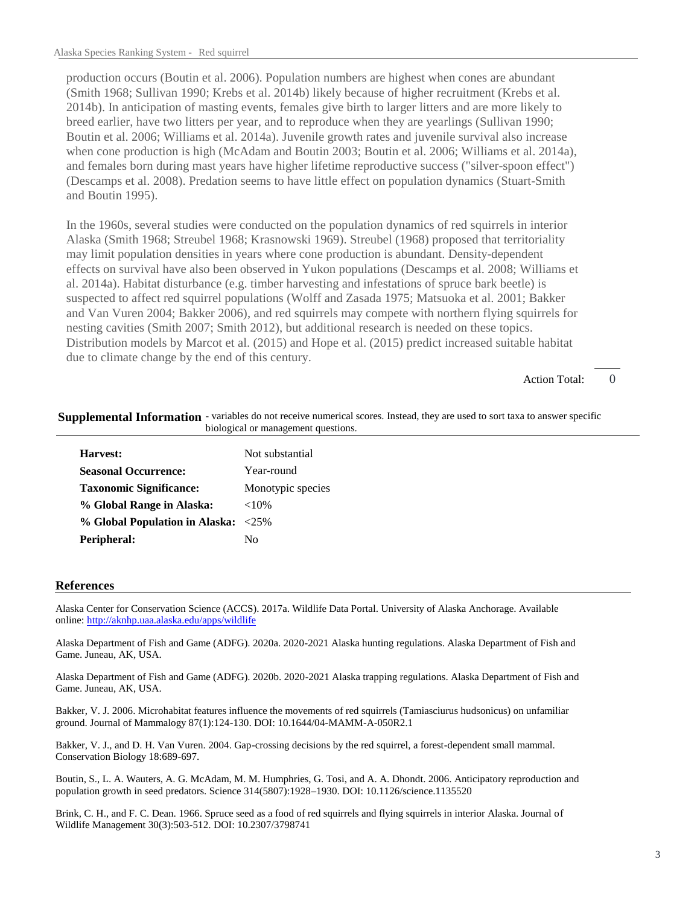production occurs (Boutin et al. 2006). Population numbers are highest when cones are abundant (Smith 1968; Sullivan 1990; Krebs et al. 2014b) likely because of higher recruitment (Krebs et al. 2014b). In anticipation of masting events, females give birth to larger litters and are more likely to breed earlier, have two litters per year, and to reproduce when they are yearlings (Sullivan 1990; Boutin et al. 2006; Williams et al. 2014a). Juvenile growth rates and juvenile survival also increase when cone production is high (McAdam and Boutin 2003; Boutin et al. 2006; Williams et al. 2014a), and females born during mast years have higher lifetime reproductive success ("silver-spoon effect") (Descamps et al. 2008). Predation seems to have little effect on population dynamics (Stuart-Smith and Boutin 1995).

In the 1960s, several studies were conducted on the population dynamics of red squirrels in interior Alaska (Smith 1968; Streubel 1968; Krasnowski 1969). Streubel (1968) proposed that territoriality may limit population densities in years where cone production is abundant. Density-dependent effects on survival have also been observed in Yukon populations (Descamps et al. 2008; Williams et al. 2014a). Habitat disturbance (e.g. timber harvesting and infestations of spruce bark beetle) is suspected to affect red squirrel populations (Wolff and Zasada 1975; Matsuoka et al. 2001; Bakker and Van Vuren 2004; Bakker 2006), and red squirrels may compete with northern flying squirrels for nesting cavities (Smith 2007; Smith 2012), but additional research is needed on these topics. Distribution models by Marcot et al. (2015) and Hope et al. (2015) predict increased suitable habitat due to climate change by the end of this century.

> $\Omega$ Action Total:

|                                     | Supplemental Information - variables do not receive numerical scores. Instead, they are used to sort taxa to answer specific |  |
|-------------------------------------|------------------------------------------------------------------------------------------------------------------------------|--|
| biological or management questions. |                                                                                                                              |  |

| Harvest:                            | Not substantial   |
|-------------------------------------|-------------------|
| <b>Seasonal Occurrence:</b>         | Year-round        |
| <b>Taxonomic Significance:</b>      | Monotypic species |
| % Global Range in Alaska:           | ${<}10\%$         |
| % Global Population in Alaska: <25% |                   |
| Peripheral:                         | Nο                |

## **References**

Alaska Center for Conservation Science (ACCS). 2017a. Wildlife Data Portal. University of Alaska Anchorage. Available online: http://aknhp.uaa.alaska.edu/apps/wildlife

Alaska Department of Fish and Game (ADFG). 2020a. 2020-2021 Alaska hunting regulations. Alaska Department of Fish and Game. Juneau, AK, USA.

Alaska Department of Fish and Game (ADFG). 2020b. 2020-2021 Alaska trapping regulations. Alaska Department of Fish and Game. Juneau, AK, USA.

Bakker, V. J. 2006. Microhabitat features influence the movements of red squirrels (Tamiasciurus hudsonicus) on unfamiliar ground. Journal of Mammalogy 87(1):124-130. DOI: 10.1644/04-MAMM-A-050R2.1

Bakker, V. J., and D. H. Van Vuren. 2004. Gap-crossing decisions by the red squirrel, a forest-dependent small mammal. Conservation Biology 18:689-697.

Boutin, S., L. A. Wauters, A. G. McAdam, M. M. Humphries, G. Tosi, and A. A. Dhondt. 2006. Anticipatory reproduction and population growth in seed predators. Science 314(5807):1928–1930. DOI: 10.1126/science.1135520

Brink, C. H., and F. C. Dean. 1966. Spruce seed as a food of red squirrels and flying squirrels in interior Alaska. Journal of Wildlife Management 30(3):503-512. DOI: 10.2307/3798741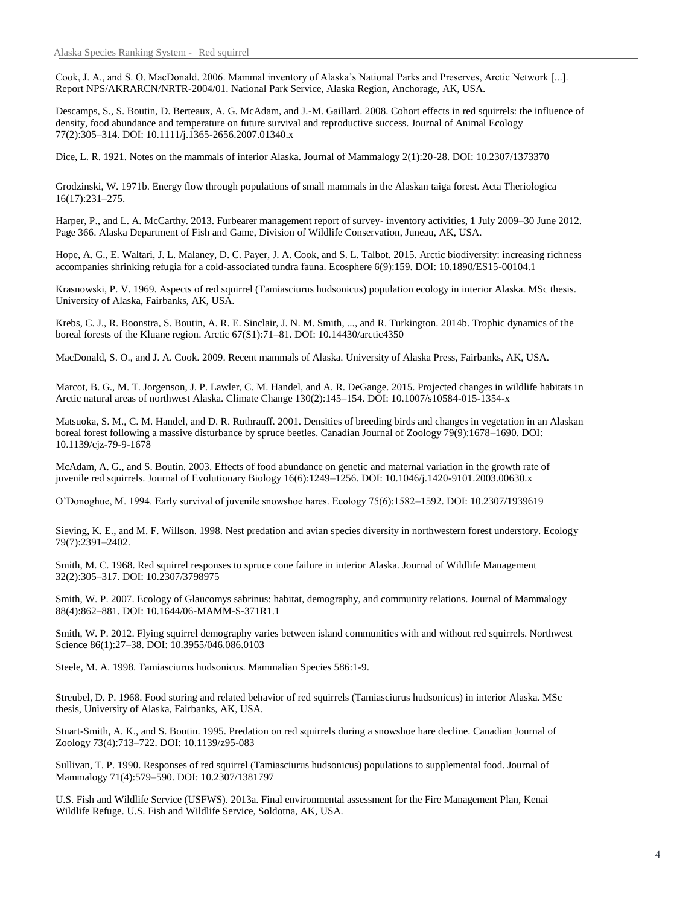Cook, J. A., and S. O. MacDonald. 2006. Mammal inventory of Alaska's National Parks and Preserves, Arctic Network [...]. Report NPS/AKRARCN/NRTR-2004/01. National Park Service, Alaska Region, Anchorage, AK, USA.

Descamps, S., S. Boutin, D. Berteaux, A. G. McAdam, and J.-M. Gaillard. 2008. Cohort effects in red squirrels: the influence of density, food abundance and temperature on future survival and reproductive success. Journal of Animal Ecology 77(2):305–314. DOI: 10.1111/j.1365-2656.2007.01340.x

Dice, L. R. 1921. Notes on the mammals of interior Alaska. Journal of Mammalogy 2(1):20-28. DOI: 10.2307/1373370

Grodzinski, W. 1971b. Energy flow through populations of small mammals in the Alaskan taiga forest. Acta Theriologica 16(17):231–275.

Harper, P., and L. A. McCarthy. 2013. Furbearer management report of survey- inventory activities, 1 July 2009–30 June 2012. Page 366. Alaska Department of Fish and Game, Division of Wildlife Conservation, Juneau, AK, USA.

Hope, A. G., E. Waltari, J. L. Malaney, D. C. Payer, J. A. Cook, and S. L. Talbot. 2015. Arctic biodiversity: increasing richness accompanies shrinking refugia for a cold-associated tundra fauna. Ecosphere 6(9):159. DOI: 10.1890/ES15-00104.1

Krasnowski, P. V. 1969. Aspects of red squirrel (Tamiasciurus hudsonicus) population ecology in interior Alaska. MSc thesis. University of Alaska, Fairbanks, AK, USA.

Krebs, C. J., R. Boonstra, S. Boutin, A. R. E. Sinclair, J. N. M. Smith, ..., and R. Turkington. 2014b. Trophic dynamics of the boreal forests of the Kluane region. Arctic 67(S1):71–81. DOI: 10.14430/arctic4350

MacDonald, S. O., and J. A. Cook. 2009. Recent mammals of Alaska. University of Alaska Press, Fairbanks, AK, USA.

Marcot, B. G., M. T. Jorgenson, J. P. Lawler, C. M. Handel, and A. R. DeGange. 2015. Projected changes in wildlife habitats in Arctic natural areas of northwest Alaska. Climate Change 130(2):145–154. DOI: 10.1007/s10584-015-1354-x

Matsuoka, S. M., C. M. Handel, and D. R. Ruthrauff. 2001. Densities of breeding birds and changes in vegetation in an Alaskan boreal forest following a massive disturbance by spruce beetles. Canadian Journal of Zoology 79(9):1678–1690. DOI: 10.1139/cjz-79-9-1678

McAdam, A. G., and S. Boutin. 2003. Effects of food abundance on genetic and maternal variation in the growth rate of juvenile red squirrels. Journal of Evolutionary Biology 16(6):1249–1256. DOI: 10.1046/j.1420-9101.2003.00630.x

O'Donoghue, M. 1994. Early survival of juvenile snowshoe hares. Ecology 75(6):1582–1592. DOI: 10.2307/1939619

Sieving, K. E., and M. F. Willson. 1998. Nest predation and avian species diversity in northwestern forest understory. Ecology 79(7):2391–2402.

Smith, M. C. 1968. Red squirrel responses to spruce cone failure in interior Alaska. Journal of Wildlife Management 32(2):305–317. DOI: 10.2307/3798975

Smith, W. P. 2007. Ecology of Glaucomys sabrinus: habitat, demography, and community relations. Journal of Mammalogy 88(4):862–881. DOI: 10.1644/06-MAMM-S-371R1.1

Smith, W. P. 2012. Flying squirrel demography varies between island communities with and without red squirrels. Northwest Science 86(1):27–38. DOI: 10.3955/046.086.0103

Steele, M. A. 1998. Tamiasciurus hudsonicus. Mammalian Species 586:1-9.

Streubel, D. P. 1968. Food storing and related behavior of red squirrels (Tamiasciurus hudsonicus) in interior Alaska. MSc thesis, University of Alaska, Fairbanks, AK, USA.

Stuart-Smith, A. K., and S. Boutin. 1995. Predation on red squirrels during a snowshoe hare decline. Canadian Journal of Zoology 73(4):713–722. DOI: 10.1139/z95-083

Sullivan, T. P. 1990. Responses of red squirrel (Tamiasciurus hudsonicus) populations to supplemental food. Journal of Mammalogy 71(4):579–590. DOI: 10.2307/1381797

U.S. Fish and Wildlife Service (USFWS). 2013a. Final environmental assessment for the Fire Management Plan, Kenai Wildlife Refuge. U.S. Fish and Wildlife Service, Soldotna, AK, USA.